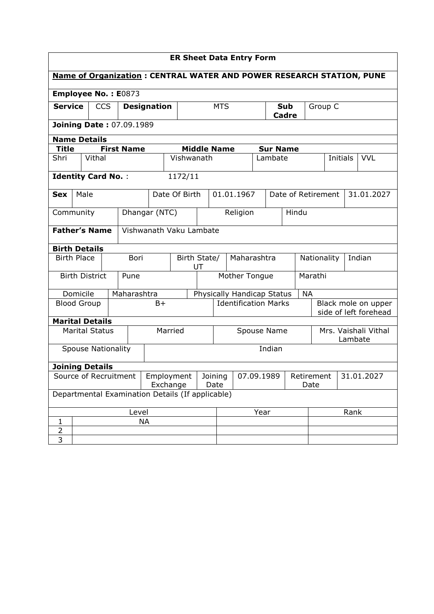| <b>ER Sheet Data Entry Form</b>                                             |                     |                           |                                           |                   |               |                         |                             |             |                                  |                         |                                 |           |                                              |          |  |            |
|-----------------------------------------------------------------------------|---------------------|---------------------------|-------------------------------------------|-------------------|---------------|-------------------------|-----------------------------|-------------|----------------------------------|-------------------------|---------------------------------|-----------|----------------------------------------------|----------|--|------------|
| <b>Name of Organization: CENTRAL WATER AND POWER RESEARCH STATION, PUNE</b> |                     |                           |                                           |                   |               |                         |                             |             |                                  |                         |                                 |           |                                              |          |  |            |
|                                                                             | Employee No.: E0873 |                           |                                           |                   |               |                         |                             |             |                                  |                         |                                 |           |                                              |          |  |            |
| <b>Service</b><br><b>CCS</b>                                                |                     |                           | <b>Designation</b>                        |                   |               | <b>MTS</b>              |                             |             |                                  | Sub<br>Group C<br>Cadre |                                 |           |                                              |          |  |            |
| <b>Joining Date: 07.09.1989</b>                                             |                     |                           |                                           |                   |               |                         |                             |             |                                  |                         |                                 |           |                                              |          |  |            |
| <b>Name Details</b>                                                         |                     |                           |                                           |                   |               |                         |                             |             |                                  |                         |                                 |           |                                              |          |  |            |
| Title                                                                       |                     |                           |                                           | <b>First Name</b> |               |                         | <b>Middle Name</b>          |             |                                  |                         | <b>Sur Name</b>                 |           |                                              |          |  |            |
| Shri                                                                        |                     | Vithal                    |                                           |                   |               |                         | Vishwanath                  |             |                                  | Lambate                 |                                 |           |                                              | Initials |  | <b>VVL</b> |
|                                                                             |                     | <b>Identity Card No.:</b> |                                           |                   |               | 1172/11                 |                             |             |                                  |                         |                                 |           |                                              |          |  |            |
| <b>Sex</b>                                                                  | Male                |                           |                                           |                   |               | Date Of Birth           |                             |             | 01.01.1967                       |                         | Date of Retirement              |           |                                              |          |  | 31.01.2027 |
| Community                                                                   |                     |                           |                                           |                   | Dhangar (NTC) |                         |                             |             | Religion                         | Hindu                   |                                 |           |                                              |          |  |            |
|                                                                             |                     | <b>Father's Name</b>      |                                           |                   |               | Vishwanath Vaku Lambate |                             |             |                                  |                         |                                 |           |                                              |          |  |            |
| <b>Birth Details</b>                                                        |                     |                           |                                           |                   |               |                         |                             |             |                                  |                         |                                 |           |                                              |          |  |            |
| <b>Birth Place</b>                                                          |                     |                           |                                           | Bori              |               |                         | Birth State/<br>UT          |             | Maharashtra                      |                         |                                 |           | Nationality                                  |          |  | Indian     |
|                                                                             |                     | <b>Birth District</b>     |                                           | Pune              |               |                         | Mother Tongue               |             |                                  |                         |                                 | Marathi   |                                              |          |  |            |
|                                                                             | Domicile            |                           |                                           |                   | Maharashtra   |                         | Physically Handicap Status  |             |                                  |                         |                                 | <b>NA</b> |                                              |          |  |            |
| <b>Blood Group</b>                                                          |                     |                           |                                           |                   | $B+$          |                         | <b>Identification Marks</b> |             |                                  |                         |                                 |           | Black mole on upper<br>side of left forehead |          |  |            |
|                                                                             |                     | <b>Marital Details</b>    |                                           |                   |               |                         |                             |             |                                  |                         |                                 |           |                                              |          |  |            |
| <b>Marital Status</b>                                                       |                     |                           |                                           | Married           |               |                         |                             | Spouse Name |                                  |                         | Mrs. Vaishali Vithal<br>Lambate |           |                                              |          |  |            |
| <b>Spouse Nationality</b>                                                   |                     |                           |                                           |                   |               |                         | Indian                      |             |                                  |                         |                                 |           |                                              |          |  |            |
| <b>Joining Details</b>                                                      |                     |                           |                                           |                   |               |                         |                             |             |                                  |                         |                                 |           |                                              |          |  |            |
| Source of Recruitment                                                       |                     |                           | Employment<br>Joining<br>Exchange<br>Date |                   |               | 07.09.1989              |                             |             | 31.01.2027<br>Retirement<br>Date |                         |                                 |           |                                              |          |  |            |
| Departmental Examination Details (If applicable)                            |                     |                           |                                           |                   |               |                         |                             |             |                                  |                         |                                 |           |                                              |          |  |            |
| Level                                                                       |                     |                           |                                           |                   |               |                         |                             |             | Year                             |                         |                                 | Rank      |                                              |          |  |            |
| $\mathbf 1$                                                                 |                     |                           |                                           |                   | <b>NA</b>     |                         |                             |             |                                  |                         |                                 |           |                                              |          |  |            |
| $\overline{c}$<br>3                                                         |                     |                           |                                           |                   |               |                         |                             |             |                                  |                         |                                 |           |                                              |          |  |            |
|                                                                             |                     |                           |                                           |                   |               |                         |                             |             |                                  |                         |                                 |           |                                              |          |  |            |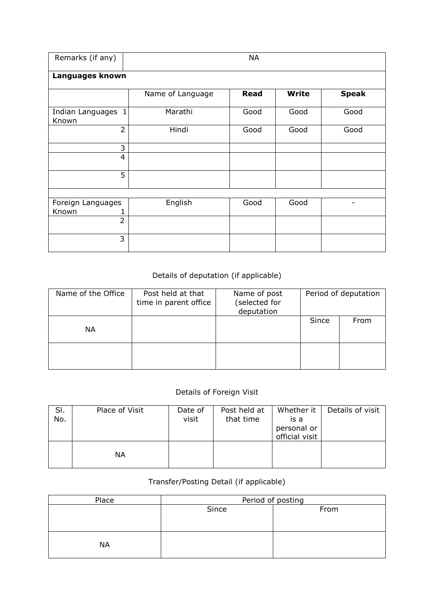| Remarks (if any)                | <b>NA</b>        |             |              |                          |  |  |  |  |  |  |
|---------------------------------|------------------|-------------|--------------|--------------------------|--|--|--|--|--|--|
| Languages known                 |                  |             |              |                          |  |  |  |  |  |  |
|                                 | Name of Language | <b>Read</b> | <b>Write</b> | <b>Speak</b>             |  |  |  |  |  |  |
| Indian Languages 1<br>Known     | Marathi          | Good        | Good         | Good                     |  |  |  |  |  |  |
| $\overline{2}$                  | Hindi            | Good        | Good         | Good                     |  |  |  |  |  |  |
| 3                               |                  |             |              |                          |  |  |  |  |  |  |
| 4                               |                  |             |              |                          |  |  |  |  |  |  |
| 5                               |                  |             |              |                          |  |  |  |  |  |  |
|                                 |                  |             |              |                          |  |  |  |  |  |  |
| Foreign Languages<br>Known<br>1 | English          | Good        | Good         | $\overline{\phantom{0}}$ |  |  |  |  |  |  |
| $\overline{2}$                  |                  |             |              |                          |  |  |  |  |  |  |
| 3                               |                  |             |              |                          |  |  |  |  |  |  |

## Details of deputation (if applicable)

| Name of the Office | Post held at that<br>time in parent office | Name of post<br>(selected for<br>deputation |       | Period of deputation |
|--------------------|--------------------------------------------|---------------------------------------------|-------|----------------------|
| <b>NA</b>          |                                            |                                             | Since | From                 |
|                    |                                            |                                             |       |                      |

## Details of Foreign Visit

| SI.<br>No. | Place of Visit | Date of<br>visit | Post held at<br>that time | Whether it<br>is a<br>personal or<br>official visit | Details of visit |
|------------|----------------|------------------|---------------------------|-----------------------------------------------------|------------------|
|            | ΝA             |                  |                           |                                                     |                  |

## Transfer/Posting Detail (if applicable)

| Place     | Period of posting |      |  |  |  |  |  |
|-----------|-------------------|------|--|--|--|--|--|
|           | Since             | From |  |  |  |  |  |
|           |                   |      |  |  |  |  |  |
|           |                   |      |  |  |  |  |  |
|           |                   |      |  |  |  |  |  |
| <b>NA</b> |                   |      |  |  |  |  |  |
|           |                   |      |  |  |  |  |  |